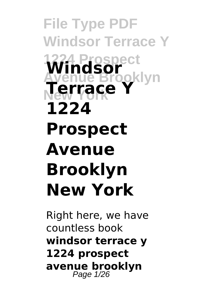**File Type PDF Windsor Terrace Y 1224 Prospect Windsor** oklyn **New York Terrace Y 1224 Prospect Avenue Brooklyn New York**

Right here, we have countless book **windsor terrace y 1224 prospect avenue brooklyn** Page 1/26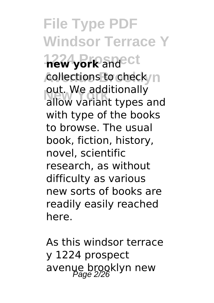**File Type PDF Windsor Terrace Y 1224 Prospect new york** and collections to check<sub>/n</sub> out. We additionally<br>allow variant types allow variant types and with type of the books to browse. The usual book, fiction, history, novel, scientific research, as without difficulty as various new sorts of books are readily easily reached here.

As this windsor terrace y 1224 prospect avenue brooklyn new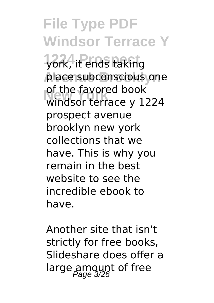# **File Type PDF Windsor Terrace Y**

**1224 Prospect** york, it ends taking place subconscious one or the ravored book<br>Windsor terrace y 1224 of the favored book prospect avenue brooklyn new york collections that we have. This is why you remain in the best website to see the incredible ebook to have.

Another site that isn't strictly for free books, Slideshare does offer a large amount of free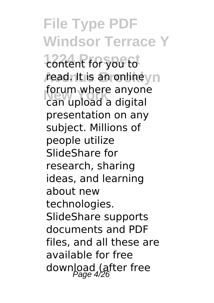**File Type PDF Windsor Terrace Y 1224 Prospect** content for you to *r*ead. It is an online yn **New York** can upload a digital forum where anyone presentation on any subject. Millions of people utilize SlideShare for research, sharing ideas, and learning about new technologies. SlideShare supports documents and PDF files, and all these are available for free download (after free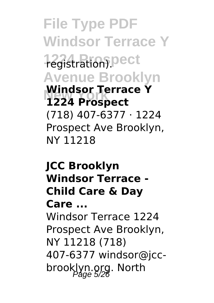**File Type PDF Windsor Terrace Y 1224 Prospect** registration). **Avenue Brooklyn New York 1224 Prospect Windsor Terrace Y** (718) 407-6377 · 1224 Prospect Ave Brooklyn, NY 11218

**JCC Brooklyn Windsor Terrace - Child Care & Day Care ...** Windsor Terrace 1224 Prospect Ave Brooklyn, NY 11218 (718) 407-6377 windsor@jccbrooklyn.org. North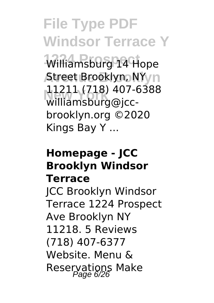**File Type PDF Windsor Terrace Y** Williamsburg 14 Hope **Atreet Brooklyn, NYyn New York** williamsburg@jcc-11211 (718) 407-6388 brooklyn.org ©2020 Kings Bay Y ...

#### **Homepage - JCC Brooklyn Windsor Terrace**

JCC Brooklyn Windsor Terrace 1224 Prospect Ave Brooklyn NY 11218. 5 Reviews (718) 407-6377 Website. Menu & Reservations Make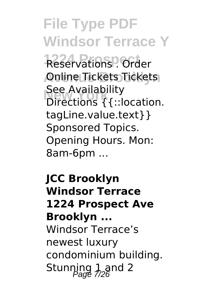**File Type PDF Windsor Terrace Y**

Reservations<sup>9</sup> Order **Avenue Brooklyn** Online Tickets Tickets See Avaliability<br>Directions {{::location. See Availability tagLine.value.text}} Sponsored Topics. Opening Hours. Mon: 8am-6pm ...

**JCC Brooklyn Windsor Terrace 1224 Prospect Ave Brooklyn ...** Windsor Terrace's newest luxury condominium building. Stunning  $1$  and 2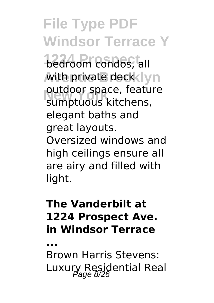# **File Type PDF Windsor Terrace Y**

**bedroom condos, all** with private deck lyn outdoor space, reatu<br>sumptuous kitchens, outdoor space, feature elegant baths and great layouts. Oversized windows and high ceilings ensure all are airy and filled with light.

## **The Vanderbilt at 1224 Prospect Ave. in Windsor Terrace**

**...**

Brown Harris Stevens: Luxury Residential Real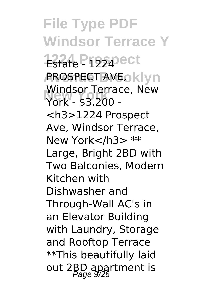**File Type PDF Windsor Terrace Y 1224 Prospect AROSPECT AVEOKLYN New York** York - \$3,200 - Windsor Terrace, New <h3>1224 Prospect Ave, Windsor Terrace, New York</h3> \*\* Large, Bright 2BD with Two Balconies, Modern Kitchen with Dishwasher and Through-Wall AC's in an Elevator Building with Laundry, Storage and Rooftop Terrace \*\*This beautifully laid out 2BD apartment is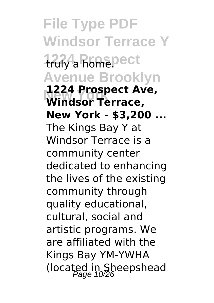**File Type PDF Windsor Terrace Y 1224 Prospect** truly a home. **Avenue Brooklyn New York Windsor Terrace, 1224 Prospect Ave, New York - \$3,200 ...** The Kings Bay Y at Windsor Terrace is a community center dedicated to enhancing the lives of the existing community through quality educational, cultural, social and artistic programs. We are affiliated with the Kings Bay YM-YWHA (located in Sheepshead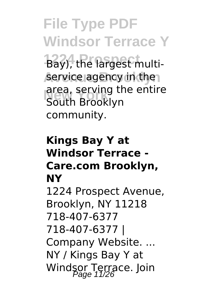**File Type PDF Windsor Terrace Y 1224 Prospect** Bay), the largest multiservice agency in the area, serving the entire<br>South Brooklyn South Brooklyn community.

### **Kings Bay Y at Windsor Terrace - Care.com Brooklyn, NY**

1224 Prospect Avenue, Brooklyn, NY 11218 718-407-6377 718-407-6377 | Company Website. ... NY / Kings Bay Y at Windsor Terrace. Join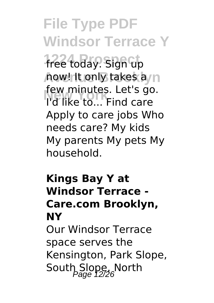**File Type PDF Windsor Terrace Y** free today. Sign up **how! It only takes a**/n **New York** I'd like to... Find care few minutes. Let's go. Apply to care jobs Who needs care? My kids My parents My pets My household.

### **Kings Bay Y at Windsor Terrace - Care.com Brooklyn, NY** Our Windsor Terrace space serves the Kensington, Park Slope,

South Slope, North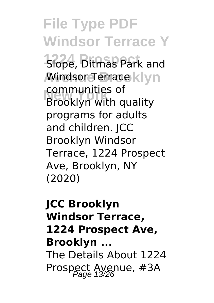**File Type PDF Windsor Terrace Y 1224** Slope, Ditmas Park and **Mindsor Terrace klyn New York** Brooklyn with quality communities of programs for adults and children. JCC Brooklyn Windsor Terrace, 1224 Prospect Ave, Brooklyn, NY (2020)

**JCC Brooklyn Windsor Terrace, 1224 Prospect Ave, Brooklyn ...** The Details About 1224 Prospect Avenue, #3A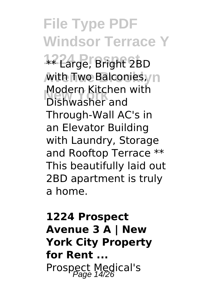**File Type PDF Windsor Terrace Y 1224 Prospect** \*\* Large, Bright 2BD with Two Balconies, n **New York** Dishwasher and Modern Kitchen with Through-Wall AC's in an Elevator Building with Laundry, Storage and Rooftop Terrace \*\* This beautifully laid out 2BD apartment is truly a home.

## **1224 Prospect Avenue 3 A | New York City Property for Rent ...** Prospect Medical's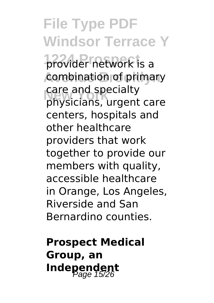**File Type PDF Windsor Terrace Y** provider network is a combination of primary care and specialty<br>physicians, urgent care care and specialty centers, hospitals and other healthcare providers that work together to provide our members with quality, accessible healthcare in Orange, Los Angeles, Riverside and San Bernardino counties.

**Prospect Medical Group, an Independent** Page 15/26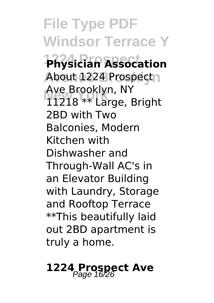**File Type PDF Windsor Terrace Y 1224 Prospect Physician Assocation** About 1224 Prospectn **New York** 11218 \*\* Large, Bright Ave Brooklyn, NY 2BD with Two Balconies, Modern Kitchen with Dishwasher and Through-Wall AC's in an Elevator Building with Laundry, Storage and Rooftop Terrace \*\*This beautifully laid out 2BD apartment is truly a home.

## **1224 Prospect Ave** Page 16/26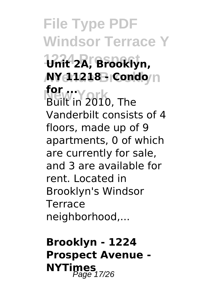**File Type PDF Windsor Terrace Y 1224 Prospect Unit 2A, Brooklyn, AY 11218 - Condo**/n **New York for ...** Built in 2010, The Vanderbilt consists of 4 floors, made up of 9 apartments, 0 of which are currently for sale, and 3 are available for rent. Located in Brooklyn's Windsor Terrace neighborhood,...

**Brooklyn - 1224 Prospect Avenue - NYTimes**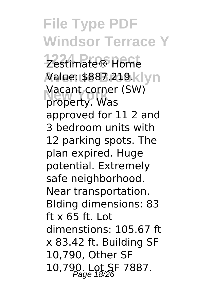**File Type PDF Windsor Terrace Y 1224 Prospect** Zestimate® Home *N***alue: \$887,219.klyn New York** property. Was Vacant corner (SW) approved for 11 2 and 3 bedroom units with 12 parking spots. The plan expired. Huge potential. Extremely safe neighborhood. Near transportation. Blding dimensions: 83 ft x 65 ft. Lot dimenstions: 105.67 ft x 83.42 ft. Building SF 10,790, Other SF 10,790. Lot SF 7887.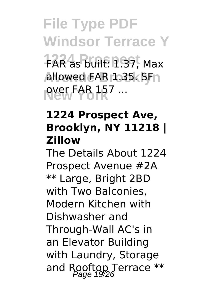**File Type PDF Windsor Terrace Y 1224 Prospect** FAR as built: 1.37, Max **allowed FAR 1.35. SFn New York** over FAR 157 ...

### **1224 Prospect Ave, Brooklyn, NY 11218 | Zillow**

The Details About 1224 Prospect Avenue #2A \*\* Large, Bright 2BD with Two Balconies, Modern Kitchen with Dishwasher and Through-Wall AC's in an Elevator Building with Laundry, Storage and Rooftop Terrace  $**$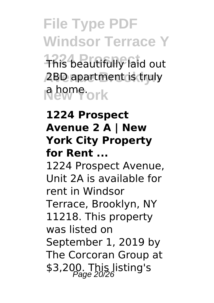**File Type PDF Windsor Terrace Y This beautifully laid out Avenue Brooklyn** 2BD apartment is truly **New York** a home.

### **1224 Prospect Avenue 2 A | New York City Property for Rent ...**

1224 Prospect Avenue, Unit 2A is available for rent in Windsor Terrace, Brooklyn, NY 11218. This property was listed on September 1, 2019 by The Corcoran Group at \$3,200. This listing's<br>Page 20/26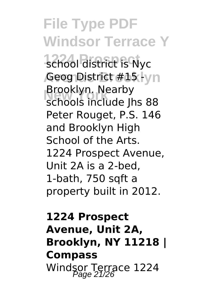**File Type PDF Windsor Terrace Y** school district is Nyc **,Geog District #15** -lyn **New York** schools include Jhs 88 Brooklyn. Nearby Peter Rouget, P.S. 146 and Brooklyn High School of the Arts. 1224 Prospect Avenue, Unit 2A is a 2-bed, 1-bath, 750 sqft a property built in 2012.

## **1224 Prospect Avenue, Unit 2A, Brooklyn, NY 11218 | Compass** Windsor Terrace 1224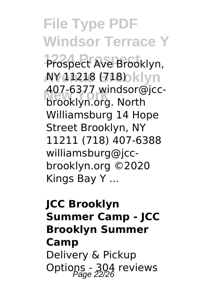**File Type PDF Windsor Terrace Y 1224 Prospect** Prospect Ave Brooklyn, **AY 11218 (718)** bklyn **New York** brooklyn.org. North 407-6377 windsor@jcc-Williamsburg 14 Hope Street Brooklyn, NY 11211 (718) 407-6388 williamsburg@jccbrooklyn.org ©2020 Kings Bay Y ...

**JCC Brooklyn Summer Camp - JCC Brooklyn Summer Camp** Delivery & Pickup Options - 304 reviews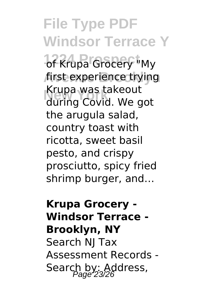**File Type PDF Windsor Terrace Y** of Krupa Grocery "My first experience trying **New York** during Covid. We got Krupa was takeout the arugula salad, country toast with ricotta, sweet basil pesto, and crispy prosciutto, spicy fried shrimp burger, and…

## **Krupa Grocery - Windsor Terrace - Brooklyn, NY** Search NJ Tax Assessment Records - Search by: Address,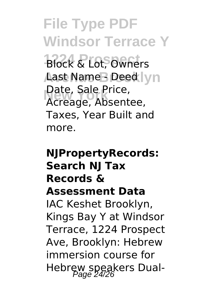**File Type PDF Windsor Terrace Y Block & Lot, Owners Aast Name B Deed lyn New York** Acreage, Absentee, Date, Sale Price, Taxes, Year Built and more.

## **NJPropertyRecords: Search NJ Tax Records & Assessment Data** IAC Keshet Brooklyn, Kings Bay Y at Windsor Terrace, 1224 Prospect Ave, Brooklyn: Hebrew immersion course for Hebrew speakers Dual- Page 24/26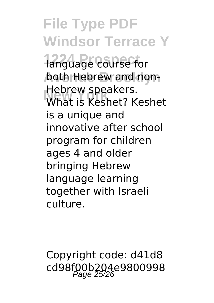# **File Type PDF Windsor Terrace Y**

language course for both Hebrew and non-**New York** What is Keshet? Keshet Hebrew speakers. is a unique and innovative after school program for children ages 4 and older bringing Hebrew language learning together with Israeli culture.

Copyright code: d41d8 cd98f00b204e9800998